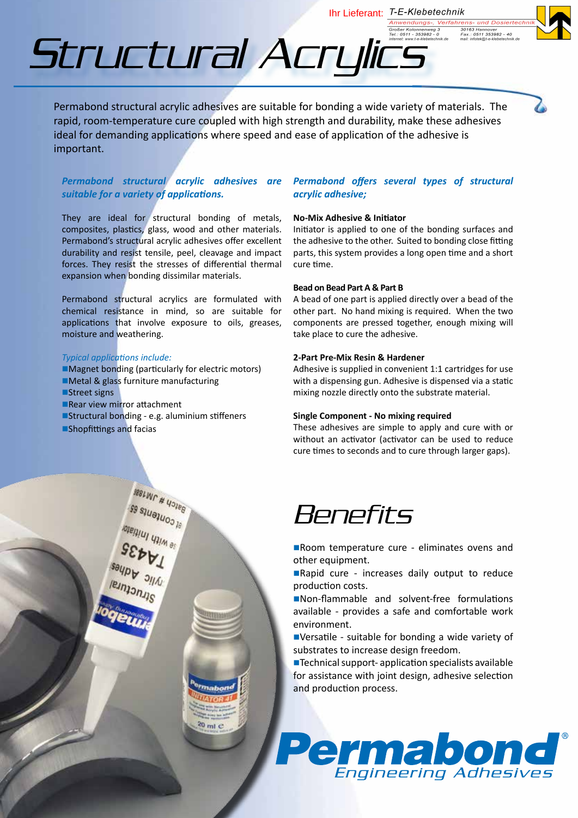Ihr Lieferant: T-E-Klebetechnik Anwendungs-, Verfahren,

30163 Hannover<br>Fax.: 0511 353982 - 40<br>mail: infotek@t-e-klebetechnik



Structural Acrylics

Permabond structural acrylic adhesives are suitable for bonding a wide variety of materials. The rapid, room-temperature cure coupled with high strength and durability, make these adhesives ideal for demanding applications where speed and ease of application of the adhesive is important.

# *Permabond structural acrylic adhesives are suitable for a variety of applications.*

They are ideal for structural bonding of metals, composites, plastics, glass, wood and other materials. Permabond's structural acrylic adhesives offer excellent durability and resist tensile, peel, cleavage and impact forces. They resist the stresses of differential thermal expansion when bonding dissimilar materials.

Permabond structural acrylics are formulated with chemical resistance in mind, so are suitable for applications that involve exposure to oils, greases, moisture and weathering.

### *Typical applications include:*

 $\blacksquare$  Magnet bonding (particularly for electric motors) **IMetal & glass furniture manufacturing**  $\blacksquare$ Street signs ■Rear view mirror attachment  $\blacksquare$ Structural bonding - e.g. aluminium stiffeners **nShopfittings and facias** 

 $\begin{picture}(180,10) \put(0,0){\line(1,0){10}} \put(10,0){\line(1,0){10}} \put(10,0){\line(1,0){10}} \put(10,0){\line(1,0){10}} \put(10,0){\line(1,0){10}} \put(10,0){\line(1,0){10}} \put(10,0){\line(1,0){10}} \put(10,0){\line(1,0){10}} \put(10,0){\line(1,0){10}} \put(10,0){\line(1,0){10}} \put(10,0){\line(1,0){10}} \put(10,0){\line($ 

 $20 \text{ ml} \text{ }c$ 

# *Permabond offers several types of structural acrylic adhesive;*

## **No-Mix Adhesive & Initiator**

Initiator is applied to one of the bonding surfaces and the adhesive to the other. Suited to bonding close fitting parts, this system provides a long open time and a short cure time.

#### **Bead on Bead Part A & Part B**

A bead of one part is applied directly over a bead of the other part. No hand mixing is required. When the two components are pressed together, enough mixing will take place to cure the adhesive.

#### **2-Part Pre-Mix Resin & Hardener**

Adhesive is supplied in convenient 1:1 cartridges for use with a dispensing gun. Adhesive is dispensed via a static mixing nozzle directly onto the substrate material.

#### **Single Component - No mixing required**

These adhesives are simple to apply and cure with or without an activator (activator can be used to reduce cure times to seconds and to cure through larger gaps).

# Benefits

Room temperature cure - eliminates ovens and other equipment.

Rapid cure - increases daily output to reduce production costs.

■Non-flammable and solvent-free formulations available - provides a safe and comfortable work environment.

■Versatile - suitable for bonding a wide variety of substrates to increase design freedom.

■Technical support- application specialists available for assistance with joint design, adhesive selection and production process.